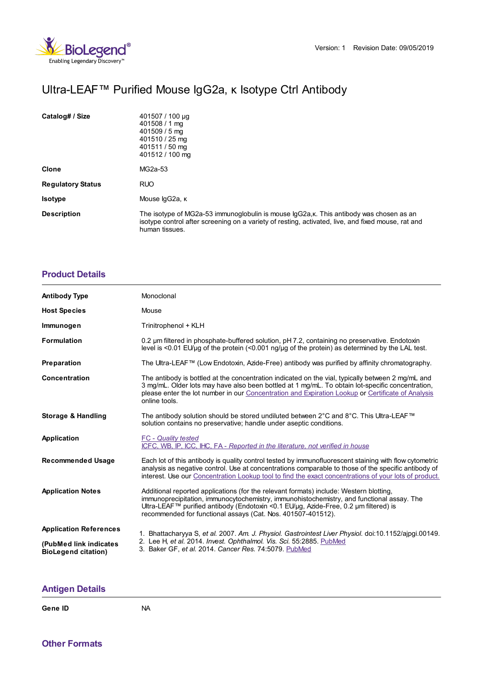

## Ultra-LEAF™ Purified Mouse IgG2a, κ Isotype Ctrl Antibody

| Catalog# / Size          | 401507 / 100 µg<br>401508 / 1 ma<br>401509 / 5 mg<br>401510 / 25 mg<br>401511 / 50 mg<br>401512 / 100 mg                                                                                                        |
|--------------------------|-----------------------------------------------------------------------------------------------------------------------------------------------------------------------------------------------------------------|
| Clone                    | MG2a-53                                                                                                                                                                                                         |
| <b>Regulatory Status</b> | <b>RUO</b>                                                                                                                                                                                                      |
| <b>Isotype</b>           | Mouse lgG2a, к                                                                                                                                                                                                  |
| <b>Description</b>       | The isotype of MG2a-53 immunoglobulin is mouse IgG2a, k. This antibody was chosen as an<br>isotype control after screening on a variety of resting, activated, live, and fixed mouse, rat and<br>human tissues. |

## **[Product](https://www.biolegend.com/it-it/products/ultra-leaf-purified-mouse-igg2a-k-isotype-ctrl-18351?pdf=true&displayInline=true&leftRightMargin=15&topBottomMargin=15&filename=Ultra-LEAF%EF%BF%BD%EF%BF%BD%EF%BF%BD Purified Mouse IgG2a, %EF%BF%BD%EF%BF%BD Isotype Ctrl Antibody.pdf#productDetails) Details**

| <b>Antibody Type</b>                                 | Monoclonal                                                                                                                                                                                                                                                                                                                                  |
|------------------------------------------------------|---------------------------------------------------------------------------------------------------------------------------------------------------------------------------------------------------------------------------------------------------------------------------------------------------------------------------------------------|
| <b>Host Species</b>                                  | Mouse                                                                                                                                                                                                                                                                                                                                       |
| Immunogen                                            | Trinitrophenol + KLH                                                                                                                                                                                                                                                                                                                        |
| <b>Formulation</b>                                   | 0.2 um filtered in phosphate-buffered solution, pH 7.2, containing no preservative. Endotoxin<br>level is $\leq$ 0.01 EU/µq of the protein $\leq$ 0.001 ng/µq of the protein) as determined by the LAL test.                                                                                                                                |
| Preparation                                          | The Ultra-LEAF™ (Low Endotoxin, Azide-Free) antibody was purified by affinity chromatography.                                                                                                                                                                                                                                               |
| Concentration                                        | The antibody is bottled at the concentration indicated on the vial, typically between 2 mg/mL and<br>3 mg/mL. Older lots may have also been bottled at 1 mg/mL. To obtain lot-specific concentration,<br>please enter the lot number in our Concentration and Expiration Lookup or Certificate of Analysis<br>online tools.                 |
| <b>Storage &amp; Handling</b>                        | The antibody solution should be stored undiluted between 2°C and 8°C. This Ultra-LEAF™<br>solution contains no preservative; handle under aseptic conditions.                                                                                                                                                                               |
| Application                                          | <b>FC</b> - Quality tested<br>ICFC, WB, IP, ICC, IHC, FA - Reported in the literature, not verified in house                                                                                                                                                                                                                                |
| <b>Recommended Usage</b>                             | Each lot of this antibody is quality control tested by immunofluorescent staining with flow cytometric<br>analysis as negative control. Use at concentrations comparable to those of the specific antibody of<br>interest. Use our Concentration Lookup tool to find the exact concentrations of your lots of product.                      |
| <b>Application Notes</b>                             | Additional reported applications (for the relevant formats) include: Western blotting,<br>immunoprecipitation, immunocytochemistry, immunohistochemistry, and functional assay. The<br>Ultra-LEAF™ purified antibody (Endotoxin <0.1 EU/µg, Azide-Free, 0.2 µm filtered) is<br>recommended for functional assays (Cat. Nos. 401507-401512). |
| <b>Application References</b>                        | 1. Bhattacharyya S, et al. 2007. Am. J. Physiol. Gastrointest Liver Physiol. doi:10.1152/ajpgi.00149.<br>2. Lee H, et al. 2014. Invest. Ophthalmol. Vis. Sci. 55:2885. PubMed<br>3. Baker GF, et al. 2014. Cancer Res. 74:5079. PubMed                                                                                                      |
| (PubMed link indicates<br><b>BioLegend citation)</b> |                                                                                                                                                                                                                                                                                                                                             |

## **[Antigen](https://www.biolegend.com/it-it/products/ultra-leaf-purified-mouse-igg2a-k-isotype-ctrl-18351?pdf=true&displayInline=true&leftRightMargin=15&topBottomMargin=15&filename=Ultra-LEAF%EF%BF%BD%EF%BF%BD%EF%BF%BD Purified Mouse IgG2a, %EF%BF%BD%EF%BF%BD Isotype Ctrl Antibody.pdf#antigenDetails) Details**

## **Gene ID** NA